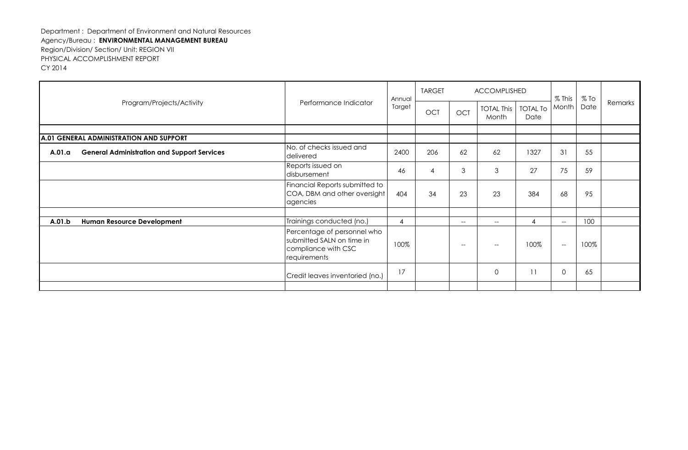| Program/Projects/Activity                                    | Performance Indicator                                                                           | Annual         | <b>TARGET</b>  | <b>ACCOMPLISHED</b>           |                                                     |                         | $%$ This    | $%$ To |         |
|--------------------------------------------------------------|-------------------------------------------------------------------------------------------------|----------------|----------------|-------------------------------|-----------------------------------------------------|-------------------------|-------------|--------|---------|
|                                                              |                                                                                                 | Target         | <b>OCT</b>     | <b>OCT</b>                    | <b>TOTAL This</b><br>Month                          | <b>TOTAL To</b><br>Date | Month       | Date   | Remarks |
|                                                              |                                                                                                 |                |                |                               |                                                     |                         |             |        |         |
| A.01 GENERAL ADMINISTRATION AND SUPPORT                      |                                                                                                 |                |                |                               |                                                     |                         |             |        |         |
| <b>General Administration and Support Services</b><br>A.01.a | No. of checks issued and<br>delivered                                                           | 2400           | 206            | 62                            | 62                                                  | 1327                    | 31          | 55     |         |
|                                                              | Reports issued on<br>disbursement                                                               | 46             | $\overline{4}$ | 3                             | 3                                                   | 27                      | 75          | 59     |         |
|                                                              | Financial Reports submitted to<br>COA, DBM and other oversight<br>agencies                      | 404            | 34             | 23                            | 23                                                  | 384                     | 68          | 95     |         |
|                                                              |                                                                                                 |                |                |                               |                                                     |                         |             |        |         |
| Human Resource Development<br>A.01.b                         | Trainings conducted (no.)                                                                       | $\overline{4}$ |                | $--$                          | $\overline{\phantom{a}}$                            | 4                       | $--$        | 100    |         |
|                                                              | Percentage of personnel who<br>submitted SALN on time in<br>compliance with CSC<br>requirements | 100%           |                | $\hspace{0.05cm} \textbf{--}$ | $\hspace{0.05cm} -\hspace{0.05cm} -\hspace{0.05cm}$ | 100%                    | $--$        | 100%   |         |
|                                                              | Credit leaves inventoried (no.)                                                                 | 17             |                |                               | $\mathbf{O}$                                        | 11                      | $\mathbf 0$ | 65     |         |
|                                                              |                                                                                                 |                |                |                               |                                                     |                         |             |        |         |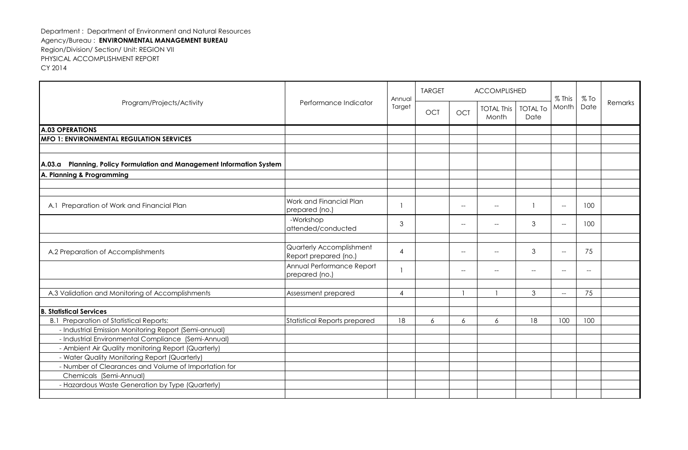| Program/Projects/Activity                                             | Annual<br>Performance Indicator<br>Target         | <b>TARGET</b> |            | <b>ACCOMPLISHED</b>                                 |                                                     | $%$ This                 | $%$ To                                              |      |         |
|-----------------------------------------------------------------------|---------------------------------------------------|---------------|------------|-----------------------------------------------------|-----------------------------------------------------|--------------------------|-----------------------------------------------------|------|---------|
|                                                                       |                                                   |               | <b>OCT</b> | <b>OCT</b>                                          | <b>TOTAL This</b><br>Month                          | <b>TOTAL To</b><br>Date  | Month                                               | Date | Remarks |
| <b>A.03 OPERATIONS</b>                                                |                                                   |               |            |                                                     |                                                     |                          |                                                     |      |         |
| <b>IMFO 1: ENVIRONMENTAL REGULATION SERVICES</b>                      |                                                   |               |            |                                                     |                                                     |                          |                                                     |      |         |
|                                                                       |                                                   |               |            |                                                     |                                                     |                          |                                                     |      |         |
| A.03.a Planning, Policy Formulation and Management Information System |                                                   |               |            |                                                     |                                                     |                          |                                                     |      |         |
| A. Planning & Programming                                             |                                                   |               |            |                                                     |                                                     |                          |                                                     |      |         |
|                                                                       |                                                   |               |            |                                                     |                                                     |                          |                                                     |      |         |
|                                                                       |                                                   |               |            |                                                     |                                                     |                          |                                                     |      |         |
| A.1 Preparation of Work and Financial Plan                            | Work and Financial Plan<br>prepared (no.)         |               |            | $\overline{\phantom{a}}$                            | $\hspace{0.05cm}$ $\hspace{0.05cm}$                 |                          | $\hspace{0.05cm} -$                                 | 100  |         |
|                                                                       | -Workshop<br>attended/conducted                   | 3             |            | $-$                                                 | $\overline{\phantom{a}}$                            | 3                        | $\overline{\phantom{a}}$                            | 100  |         |
|                                                                       |                                                   |               |            |                                                     |                                                     |                          |                                                     |      |         |
| A.2 Preparation of Accomplishments                                    | Quarterly Accomplishment<br>Report prepared (no.) | 4             |            | $\hspace{0.05cm} -\hspace{0.05cm} -\hspace{0.05cm}$ | $\hspace{0.05cm} -\hspace{0.05cm} -\hspace{0.05cm}$ | 3                        | $\hspace{0.05cm} -\hspace{0.05cm} -\hspace{0.05cm}$ | 75   |         |
|                                                                       | Annual Performance Report<br>prepared (no.)       |               |            | $-$                                                 | $-$                                                 | $\overline{\phantom{0}}$ | $\sim$                                              | $-$  |         |
| A.3 Validation and Monitoring of Accomplishments                      | Assessment prepared                               | 4             |            |                                                     |                                                     | 3                        | $\hspace{0.05cm} -\hspace{0.05cm} -\hspace{0.05cm}$ | 75   |         |
| <b>B. Statistical Services</b>                                        |                                                   |               |            |                                                     |                                                     |                          |                                                     |      |         |
| <b>B.1 Preparation of Statistical Reports:</b>                        | <b>Statistical Reports prepared</b>               | 18            | 6          | 6                                                   | 6                                                   | 18                       | 100                                                 | 100  |         |
| - Industrial Emission Monitoring Report (Semi-annual)                 |                                                   |               |            |                                                     |                                                     |                          |                                                     |      |         |
| - Industrial Environmental Compliance (Semi-Annual)                   |                                                   |               |            |                                                     |                                                     |                          |                                                     |      |         |
| - Ambient Air Quality monitoring Report (Quarterly)                   |                                                   |               |            |                                                     |                                                     |                          |                                                     |      |         |
| - Water Quality Monitoring Report (Quarterly)                         |                                                   |               |            |                                                     |                                                     |                          |                                                     |      |         |
| - Number of Clearances and Volume of Importation for                  |                                                   |               |            |                                                     |                                                     |                          |                                                     |      |         |
| Chemicals (Semi-Annual)                                               |                                                   |               |            |                                                     |                                                     |                          |                                                     |      |         |
| - Hazardous Waste Generation by Type (Quarterly)                      |                                                   |               |            |                                                     |                                                     |                          |                                                     |      |         |
|                                                                       |                                                   |               |            |                                                     |                                                     |                          |                                                     |      |         |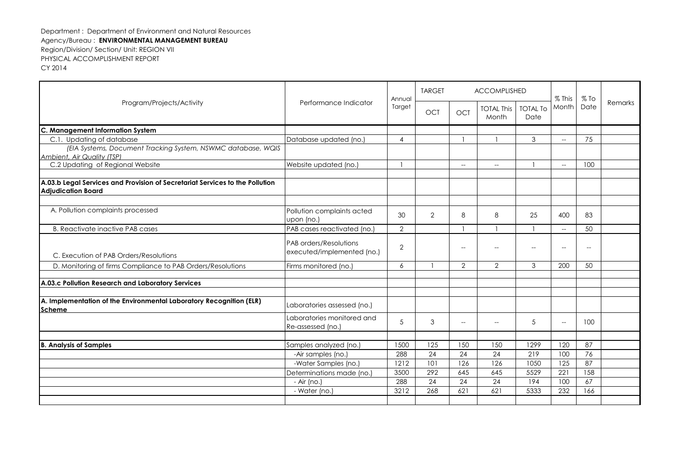| Program/Projects/Activity                                                                  |                                                      | Annual         | <b>TARGET</b>  | <b>ACCOMPLISHED</b>               |                                                     |                         |                                                     | $%$ To                                              |         |
|--------------------------------------------------------------------------------------------|------------------------------------------------------|----------------|----------------|-----------------------------------|-----------------------------------------------------|-------------------------|-----------------------------------------------------|-----------------------------------------------------|---------|
|                                                                                            | Performance Indicator                                | Target         | <b>OCT</b>     | <b>OCT</b>                        | <b>TOTAL This</b><br>Month                          | <b>TOTAL To</b><br>Date | % This<br>Month                                     | Date                                                | Remarks |
| C. Management Information System                                                           |                                                      |                |                |                                   |                                                     |                         |                                                     |                                                     |         |
| C.1. Updating of database                                                                  | Database updated (no.)                               | $\overline{4}$ |                |                                   |                                                     | 3                       | $\overline{\phantom{a}}$                            | 75                                                  |         |
| (EIA Systems, Document Tracking System, NSWMC database, WQIS<br>Ambient, Air Quality (TSP) |                                                      |                |                |                                   |                                                     |                         |                                                     |                                                     |         |
| C.2 Updating of Regional Website                                                           | Website updated (no.)                                |                |                | $\hspace{0.05cm} \dashrightarrow$ | $\hspace{0.05cm} -\hspace{0.05cm} -\hspace{0.05cm}$ |                         | $\hspace{0.05cm}$ $\hspace{0.05cm}$                 | 100                                                 |         |
| A.03.b Legal Services and Provision of Secretariat Services to the Pollution               |                                                      |                |                |                                   |                                                     |                         |                                                     |                                                     |         |
| <b>Adjudication Board</b>                                                                  |                                                      |                |                |                                   |                                                     |                         |                                                     |                                                     |         |
| A. Pollution complaints processed                                                          | Pollution complaints acted<br>upon (no.)             | 30             | $\overline{2}$ | 8                                 | 8                                                   | 25                      | 400                                                 | 83                                                  |         |
| <b>B. Reactivate inactive PAB cases</b>                                                    | PAB cases reactivated (no.)                          | $\overline{2}$ |                |                                   |                                                     |                         | $\overline{\phantom{a}}$                            | 50                                                  |         |
| C. Execution of PAB Orders/Resolutions                                                     | PAB orders/Resolutions<br>executed/implemented (no.) | $\mathbf{2}$   |                | $-$                               | $\overline{\phantom{a}}$                            | $-\!$                   | $\hspace{0.05cm} -\hspace{0.05cm} -\hspace{0.05cm}$ | $\hspace{0.05cm} -\hspace{0.05cm} -\hspace{0.05cm}$ |         |
| D. Monitoring of firms Compliance to PAB Orders/Resolutions                                | Firms monitored (no.)                                | 6              |                | $\overline{2}$                    | $\overline{2}$                                      | 3                       | 200                                                 | 50                                                  |         |
| A.03.c Pollution Research and Laboratory Services                                          |                                                      |                |                |                                   |                                                     |                         |                                                     |                                                     |         |
|                                                                                            |                                                      |                |                |                                   |                                                     |                         |                                                     |                                                     |         |
| A. Implementation of the Environmental Laboratory Recognition (ELR)<br><b>Scheme</b>       | Laboratories assessed (no.)                          |                |                |                                   |                                                     |                         |                                                     |                                                     |         |
|                                                                                            | Laboratories monitored and<br>Re-assessed (no.)      | 5              | 3              | $\overline{\phantom{a}}$          | $\overline{\phantom{a}}$                            | 5                       | $\overline{\phantom{0}}$                            | 100                                                 |         |
|                                                                                            |                                                      |                |                |                                   |                                                     |                         |                                                     |                                                     |         |
| <b>B. Analysis of Samples</b>                                                              | Samples analyzed (no.)                               | 1500           | 125            | 150                               | 150                                                 | 1299                    | 120                                                 | 87                                                  |         |
|                                                                                            | -Air samples (no.)                                   | 288            | 24             | 24                                | 24                                                  | 219                     | 100                                                 | 76                                                  |         |
|                                                                                            | -Water Samples (no.)                                 | 1212           | 101            | 126                               | 126                                                 | 1050                    | 125                                                 | 87                                                  |         |
|                                                                                            | Determinations made (no.)                            | 3500<br>288    | 292<br>24      | 645<br>24                         | 645<br>24                                           | 5529<br>194             | 221<br>100                                          | 158<br>67                                           |         |
|                                                                                            | - Air (no.)<br>- Water (no.)                         | 3212           | 268            | 621                               | 621                                                 | 5333                    | 232                                                 | 166                                                 |         |
|                                                                                            |                                                      |                |                |                                   |                                                     |                         |                                                     |                                                     |         |
|                                                                                            |                                                      |                |                |                                   |                                                     |                         |                                                     |                                                     |         |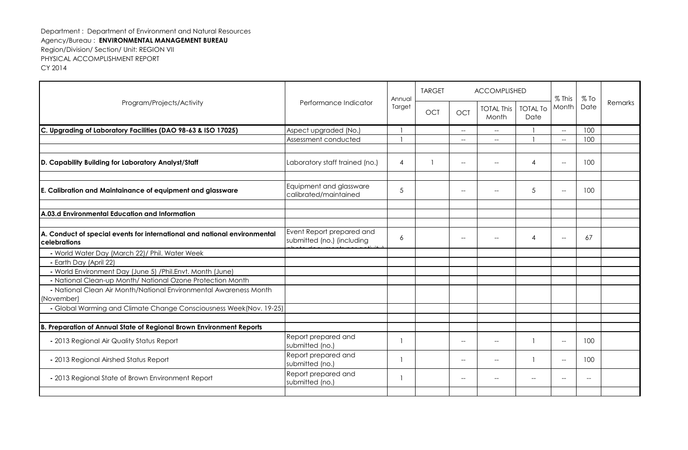| Program/Projects/Activity                                                                 |                                                         | Annual         | <b>TARGET</b> |                          | <b>ACCOMPLISHED</b>                                 |                          | $%$ This                                            | $%$ To                   |         |
|-------------------------------------------------------------------------------------------|---------------------------------------------------------|----------------|---------------|--------------------------|-----------------------------------------------------|--------------------------|-----------------------------------------------------|--------------------------|---------|
|                                                                                           | Performance Indicator                                   | Target         | <b>OCT</b>    | <b>OCT</b>               | <b>TOTAL This</b><br>Month                          | <b>TOTAL To</b><br>Date  | Month                                               | Date                     | Remarks |
| C. Upgrading of Laboratory Facilities (DAO 98-63 & ISO 17025)                             | Aspect upgraded (No.)                                   |                |               | $\overline{\phantom{a}}$ | $\hspace{0.05cm}$ – $\hspace{0.05cm}$               |                          | $\overline{\phantom{a}}$                            | 100                      |         |
|                                                                                           | Assessment conducted                                    |                |               | $- -$                    | $\hspace{0.05cm} -\hspace{0.05cm} -\hspace{0.05cm}$ |                          | $\hspace{0.05cm} -\hspace{0.05cm} -\hspace{0.05cm}$ | 100                      |         |
|                                                                                           |                                                         |                |               |                          |                                                     |                          |                                                     |                          |         |
| D. Capability Building for Laboratory Analyst/Staff                                       | Laboratory staff trained (no.)                          | $\overline{4}$ |               | $\overline{\phantom{a}}$ |                                                     | 4                        | $\hspace{0.05cm} -\hspace{0.05cm} -\hspace{0.05cm}$ | 100                      |         |
|                                                                                           |                                                         |                |               |                          |                                                     |                          |                                                     |                          |         |
| E. Calibration and Maintainance of equipment and glassware                                | Equipment and glassware<br>calibrated/maintained        | $\sqrt{5}$     |               | $-$                      |                                                     | 5                        | $\overline{\phantom{a}}$                            | 100                      |         |
|                                                                                           |                                                         |                |               |                          |                                                     |                          |                                                     |                          |         |
| A.03.d Environmental Education and Information                                            |                                                         |                |               |                          |                                                     |                          |                                                     |                          |         |
|                                                                                           |                                                         |                |               |                          |                                                     |                          |                                                     |                          |         |
| A. Conduct of special events for international and national environmental<br>celebrations | Event Report prepared and<br>submitted (no.) (including | 6              |               | $-$                      |                                                     | 4                        | $-$                                                 | 67                       |         |
| - World Water Day (March 22)/ Phil. Water Week                                            |                                                         |                |               |                          |                                                     |                          |                                                     |                          |         |
| - Earth Day (April 22)                                                                    |                                                         |                |               |                          |                                                     |                          |                                                     |                          |         |
| - World Environment Day (June 5) /Phil.Envt. Month (June)                                 |                                                         |                |               |                          |                                                     |                          |                                                     |                          |         |
| - National Clean-up Month/ National Ozone Protection Month                                |                                                         |                |               |                          |                                                     |                          |                                                     |                          |         |
| - National Clean Air Month/National Environmental Awareness Month<br>(November)           |                                                         |                |               |                          |                                                     |                          |                                                     |                          |         |
| - Global Warming and Climate Change Consciousness Week(Nov. 19-25)                        |                                                         |                |               |                          |                                                     |                          |                                                     |                          |         |
|                                                                                           |                                                         |                |               |                          |                                                     |                          |                                                     |                          |         |
| B. Preparation of Annual State of Regional Brown Environment Reports                      |                                                         |                |               |                          |                                                     |                          |                                                     |                          |         |
| - 2013 Regional Air Quality Status Report                                                 | Report prepared and<br>submitted (no.)                  |                |               | $-$                      | $\overline{\phantom{a}}$                            |                          | $\hspace{0.05cm} -\hspace{0.05cm} -\hspace{0.05cm}$ | 100                      |         |
| - 2013 Regional Airshed Status Report                                                     | Report prepared and<br>submitted (no.)                  |                |               | $-$                      | $-$                                                 |                          | $\hspace{0.05cm} -\hspace{0.05cm} -\hspace{0.05cm}$ | 100                      |         |
| - 2013 Regional State of Brown Environment Report                                         | Report prepared and<br>submitted (no.)                  |                |               | $-$                      |                                                     | $\overline{\phantom{a}}$ | $-$                                                 | $\overline{\phantom{a}}$ |         |
|                                                                                           |                                                         |                |               |                          |                                                     |                          |                                                     |                          |         |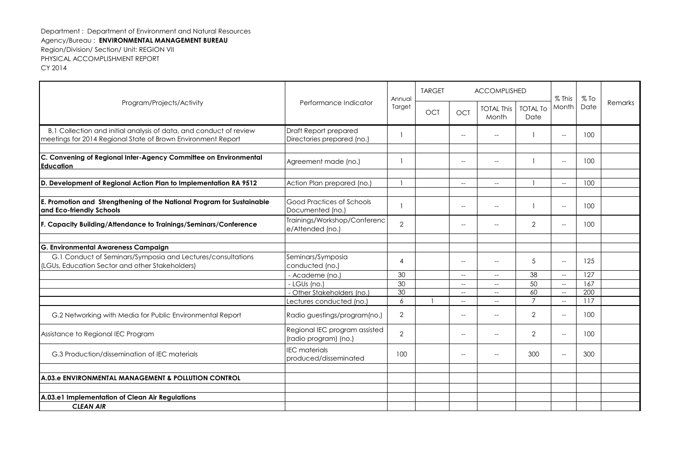| Program/Projects/Activity                                                                                                          |                                                        | Annual         | <b>TARGET</b> |                                                     | ACCOMPLISHED                                        |                         | % This                                              | $%$ To |         |
|------------------------------------------------------------------------------------------------------------------------------------|--------------------------------------------------------|----------------|---------------|-----------------------------------------------------|-----------------------------------------------------|-------------------------|-----------------------------------------------------|--------|---------|
|                                                                                                                                    | Performance Indicator                                  | Target         | <b>OCT</b>    | <b>OCT</b>                                          | <b>TOTAL This</b><br>Month                          | <b>TOTAL To</b><br>Date | Month                                               | Date   | Remarks |
| B.1 Collection and initial analysis of data, and conduct of review<br>meetings for 2014 Regional State of Brown Environment Report | Draft Report prepared<br>Directories prepared (no.)    |                |               |                                                     |                                                     |                         | $\hspace{0.05cm} -\hspace{0.05cm} -\hspace{0.05cm}$ | 100    |         |
| C. Convening of Regional Inter-Agency Committee on Environmental<br>Education                                                      | Agreement made (no.)                                   | -1             |               |                                                     |                                                     |                         | $\hspace{0.05cm} \ldots$                            | 100    |         |
| D. Development of Regional Action Plan to Implementation RA 9512                                                                   | Action Plan prepared (no.)                             |                |               | $\sim$                                              | $\hspace{0.05cm} -\hspace{0.05cm} -\hspace{0.05cm}$ |                         | $\hspace{0.05cm} -\hspace{0.05cm} -\hspace{0.05cm}$ | 100    |         |
| E. Promotion and Strengthening of the National Program for Sustainable<br>and Eco-friendly Schools                                 | Good Practices of Schools<br>Documented (no.)          |                |               | $-$                                                 | $-$                                                 |                         | $\overline{\phantom{a}}$                            | 100    |         |
| F. Capacity Building/Attendance to Trainings/Seminars/Conference                                                                   | Trainings/Workshop/Conferenc<br>e/Attended (no.)       | $\overline{2}$ |               | $-$                                                 | $-$                                                 | $\overline{2}$          | $\hspace{0.05cm} \ldots$                            | 100    |         |
| G. Environmental Awareness Campaign                                                                                                |                                                        |                |               |                                                     |                                                     |                         |                                                     |        |         |
| G.1 Conduct of Seminars/Symposia and Lectures/consultations<br>(LGUs, Education Sector and other Stakeholders)                     | Seminars/Symposia<br>conducted (no.)                   | 4              |               | $-$                                                 | $-$                                                 | 5                       | $\hspace{0.05cm} -\hspace{0.05cm} -\hspace{0.05cm}$ | 125    |         |
|                                                                                                                                    | - Academe (no.)                                        | 30             |               | $\hspace{0.05cm} -\hspace{0.05cm} -\hspace{0.05cm}$ | $\hspace{0.05cm} -\hspace{0.05cm} -\hspace{0.05cm}$ | 38                      | $\hspace{0.05cm} -\hspace{0.05cm} -\hspace{0.05cm}$ | 127    |         |
|                                                                                                                                    | - LGUs (no.)                                           | 30             |               | $\hspace{0.05cm} -\hspace{0.05cm} -\hspace{0.05cm}$ | $-$                                                 | 50                      | $\hspace{0.05cm} -\hspace{0.05cm} -\hspace{0.05cm}$ | 167    |         |
|                                                                                                                                    | - Other Stakeholders (no.)                             | 30             |               | $\overline{\phantom{a}}$                            | $\hspace{0.05cm} -\hspace{0.05cm} -\hspace{0.05cm}$ | 60                      | $\hspace{0.05cm} -\hspace{0.05cm} -\hspace{0.05cm}$ | 200    |         |
|                                                                                                                                    | Lectures conducted (no.)                               | 6              |               | $-$                                                 | $-$                                                 | $\overline{7}$          | $\hspace{0.05cm} -\hspace{0.05cm} -\hspace{0.05cm}$ | 117    |         |
| G.2 Networking with Media for Public Environmental Report                                                                          | Radio guestings/program(no.)                           | $\overline{2}$ |               | $\overline{a}$                                      | $-$                                                 | $\overline{2}$          | $\overline{\phantom{a}}$                            | 100    |         |
| Assistance to Regional IEC Program                                                                                                 | Regional IEC program assisted<br>(radio program) (no.) | $\overline{2}$ |               | $\overline{a}$                                      |                                                     | $\overline{2}$          | $\overline{\phantom{a}}$                            | 100    |         |
| G.3 Production/dissemination of IEC materials                                                                                      | <b>IEC</b> materials<br>produced/disseminated          | 100            |               | $\overline{\phantom{a}}$                            |                                                     | 300                     | $\hspace{0.05cm} \ldots$                            | 300    |         |
|                                                                                                                                    |                                                        |                |               |                                                     |                                                     |                         |                                                     |        |         |
| A.03.e ENVIRONMENTAL MANAGEMENT & POLLUTION CONTROL                                                                                |                                                        |                |               |                                                     |                                                     |                         |                                                     |        |         |
|                                                                                                                                    |                                                        |                |               |                                                     |                                                     |                         |                                                     |        |         |
| A.03.e1 Implementation of Clean Air Regulations                                                                                    |                                                        |                |               |                                                     |                                                     |                         |                                                     |        |         |
| <b>CLEAN AIR</b>                                                                                                                   |                                                        |                |               |                                                     |                                                     |                         |                                                     |        |         |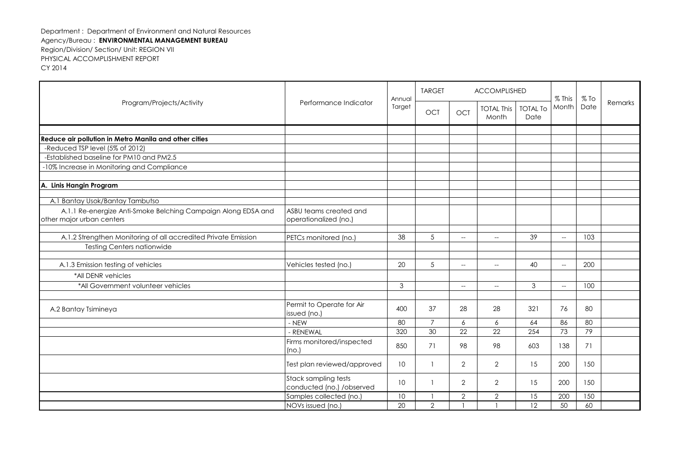| Program/Projects/Activity                                                                  | Annual<br>Performance Indicator                   | <b>TARGET</b>   |                | <b>ACCOMPLISHED</b>      |                            | $%$ This                | $%$ To                                              | Remarks |  |
|--------------------------------------------------------------------------------------------|---------------------------------------------------|-----------------|----------------|--------------------------|----------------------------|-------------------------|-----------------------------------------------------|---------|--|
|                                                                                            |                                                   | Target          | OCT            | OCT                      | <b>TOTAL This</b><br>Month | <b>TOTAL To</b><br>Date | Month                                               | Date    |  |
|                                                                                            |                                                   |                 |                |                          |                            |                         |                                                     |         |  |
| Reduce air pollution in Metro Manila and other cities                                      |                                                   |                 |                |                          |                            |                         |                                                     |         |  |
| -Reduced TSP level (5% of 2012)                                                            |                                                   |                 |                |                          |                            |                         |                                                     |         |  |
| -Established baseline for PM10 and PM2.5                                                   |                                                   |                 |                |                          |                            |                         |                                                     |         |  |
| -10% Increase in Monitoring and Compliance                                                 |                                                   |                 |                |                          |                            |                         |                                                     |         |  |
| A. Linis Hangin Program                                                                    |                                                   |                 |                |                          |                            |                         |                                                     |         |  |
| A.1 Bantay Usok/Bantay Tambutso                                                            |                                                   |                 |                |                          |                            |                         |                                                     |         |  |
| A.1.1 Re-energize Anti-Smoke Belching Campaign Along EDSA and<br>other major urban centers | ASBU teams created and<br>operationalized (no.)   |                 |                |                          |                            |                         |                                                     |         |  |
| A.1.2 Strengthen Monitoring of all accredited Private Emission                             | PETCs monitored (no.)                             | 38              | 5              | $--$                     | $--$                       | 39                      | $\hspace{0.05cm} -\hspace{0.05cm} -\hspace{0.05cm}$ | 103     |  |
| <b>Testing Centers nationwide</b>                                                          |                                                   |                 |                |                          |                            |                         |                                                     |         |  |
| A.1.3 Emission testing of vehicles                                                         | Vehicles tested (no.)                             | 20              | 5              | $\overline{a}$           | $- -$                      | 40                      | $\hspace{0.05cm} -\hspace{0.05cm} -\hspace{0.05cm}$ | 200     |  |
| *All DENR vehicles                                                                         |                                                   |                 |                |                          |                            |                         |                                                     |         |  |
| *All Government volunteer vehicles                                                         |                                                   | 3               |                | $\overline{\phantom{a}}$ | $--$                       | 3                       | $\hspace{0.05cm} -\hspace{0.05cm} -\hspace{0.05cm}$ | 100     |  |
| A.2 Bantay Tsimineya                                                                       | Permit to Operate for Air<br>issued (no.)         | 400             | 37             | 28                       | 28                         | 321                     | 76                                                  | 80      |  |
|                                                                                            | - NEW                                             | 80              | $\overline{7}$ | $\epsilon$               | 6                          | 64                      | 86                                                  | 80      |  |
|                                                                                            | - RENEWAL                                         | 320             | 30             | 22                       | 22                         | 254                     | 73                                                  | 79      |  |
|                                                                                            | Firms monitored/inspected<br>(no.)                | 850             | 71             | 98                       | 98                         | 603                     | 138                                                 | 71      |  |
|                                                                                            | Test plan reviewed/approved                       | 10              |                | $\overline{2}$           | $\overline{2}$             | 15                      | 200                                                 | 150     |  |
|                                                                                            | Stack sampling tests<br>conducted (no.) /observed | 10 <sup>°</sup> |                | $\overline{2}$           | $\overline{2}$             | 15                      | 200                                                 | 150     |  |
|                                                                                            | Samples collected (no.)                           | 10              |                | $\mathbf{2}$             | $\overline{2}$             | 15                      | 200                                                 | 150     |  |
|                                                                                            | NOVs issued (no.)                                 | 20              | $\overline{2}$ |                          |                            | 12                      | 50                                                  | 60      |  |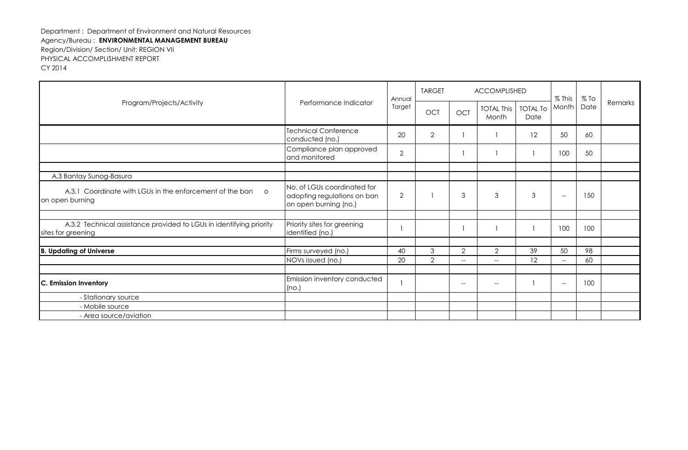| Program/Projects/Activity                                                                 | Performance Indicator                                                               | Annual         | <b>TARGET</b>  |                                                     | ACCOMPLISHED               |                         | $%$ This                                            | $%$ To |         |
|-------------------------------------------------------------------------------------------|-------------------------------------------------------------------------------------|----------------|----------------|-----------------------------------------------------|----------------------------|-------------------------|-----------------------------------------------------|--------|---------|
|                                                                                           |                                                                                     | Target         | OCT            | <b>OCT</b>                                          | <b>TOTAL This</b><br>Month | <b>TOTAL To</b><br>Date | Month                                               | Date   | Remarks |
|                                                                                           | <b>Technical Conference</b><br>conducted (no.)                                      | 20             | $\overline{2}$ |                                                     |                            | 12                      | 50                                                  | 60     |         |
|                                                                                           | Compliance plan approved<br>and monitored                                           | $\overline{2}$ |                |                                                     |                            |                         | 100                                                 | 50     |         |
|                                                                                           |                                                                                     |                |                |                                                     |                            |                         |                                                     |        |         |
| A.3 Bantay Sunog-Basura                                                                   |                                                                                     |                |                |                                                     |                            |                         |                                                     |        |         |
| A.3.1 Coordinate with LGUs in the enforcement of the ban<br>$\circ$<br>on open burning    | No. of LGUs coordinated for<br>adopting regulations on ban<br>on open burning (no.) | $\overline{2}$ |                | 3                                                   | 3                          | 3                       | $\hspace{0.05cm} -\hspace{0.05cm} -\hspace{0.05cm}$ | 150    |         |
|                                                                                           |                                                                                     |                |                |                                                     |                            |                         |                                                     |        |         |
| A.3.2 Technical assistance provided to LGUs in identifying priority<br>sites for greening | Priority sites for greening<br>identified (no.)                                     |                |                |                                                     |                            |                         | 100                                                 | 100    |         |
|                                                                                           |                                                                                     |                |                |                                                     |                            |                         |                                                     |        |         |
| <b>B. Updating of Universe</b>                                                            | Firms surveyed (no.)                                                                | 40             | 3              | $\mathbf{2}$                                        | $\overline{2}$             | 39                      | 50                                                  | 98     |         |
|                                                                                           | NOVs issued (no.)                                                                   | 20             | $\overline{2}$ | $\hspace{0.05cm} -\hspace{0.05cm} -\hspace{0.05cm}$ | $--$                       | 12                      | $\hspace{0.05cm}$ – $\hspace{0.05cm}$               | 60     |         |
|                                                                                           |                                                                                     |                |                |                                                     |                            |                         |                                                     |        |         |
| C. Emission Inventory                                                                     | Emission inventory conducted<br>(no.)                                               |                |                | $-$                                                 | $--$                       |                         | $\hspace{0.05cm} -\hspace{0.05cm} -\hspace{0.05cm}$ | 100    |         |
| - Stationary source                                                                       |                                                                                     |                |                |                                                     |                            |                         |                                                     |        |         |
| - Mobile source                                                                           |                                                                                     |                |                |                                                     |                            |                         |                                                     |        |         |
| - Area source/aviation                                                                    |                                                                                     |                |                |                                                     |                            |                         |                                                     |        |         |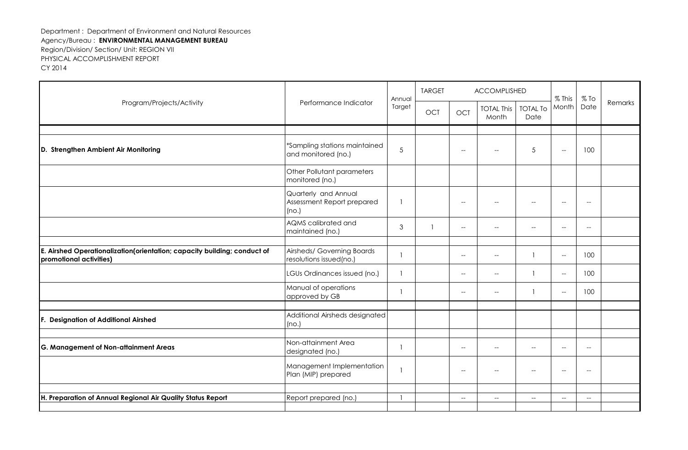|                                                                                                     |                                                             | Annual | <b>TARGET</b> |                          | ACCOMPLISHED                                        |                                                     | $%$ This                                            | $%$ To                                              |         |
|-----------------------------------------------------------------------------------------------------|-------------------------------------------------------------|--------|---------------|--------------------------|-----------------------------------------------------|-----------------------------------------------------|-----------------------------------------------------|-----------------------------------------------------|---------|
| Program/Projects/Activity                                                                           | Performance Indicator                                       | Target | OCT           | OCT                      | <b>TOTAL This</b><br>Month                          | <b>TOTAL To</b><br>Date                             | Month                                               | Date                                                | Remarks |
|                                                                                                     |                                                             |        |               |                          |                                                     |                                                     |                                                     |                                                     |         |
| D. Strengthen Ambient Air Monitoring                                                                | *Sampling stations maintained<br>and monitored (no.)        | 5      |               | $\overline{\phantom{a}}$ | $\hspace{0.05cm} \ldots$                            | 5                                                   | $\overline{\phantom{a}}$                            | 100                                                 |         |
|                                                                                                     | Other Pollutant parameters<br>monitored (no.)               |        |               |                          |                                                     |                                                     |                                                     |                                                     |         |
|                                                                                                     | Quarterly and Annual<br>Assessment Report prepared<br>(no.) |        |               | $\overline{\phantom{a}}$ | $\overline{\phantom{a}}$                            | $\overline{\phantom{a}}$                            | $\overline{a}$                                      | $\overline{\phantom{a}}$                            |         |
|                                                                                                     | AQMS calibrated and<br>maintained (no.)                     | 3      |               | $\overline{\phantom{a}}$ | $\hspace{0.05cm} \ldots$                            | $\hspace{0.05cm} -\hspace{0.05cm} -\hspace{0.05cm}$ | $\overline{\phantom{a}}$                            | $\hspace{0.05cm} -\hspace{0.05cm} -\hspace{0.05cm}$ |         |
|                                                                                                     |                                                             |        |               |                          |                                                     |                                                     |                                                     |                                                     |         |
| E. Airshed Operationalization(orientation; capacity building; conduct of<br>promotional activities) | Airsheds/ Governing Boards<br>resolutions issued(no.)       |        |               | $\overline{\phantom{a}}$ | $\hspace{0.05cm}$ – $\hspace{0.05cm}$               |                                                     | $\hspace{0.05cm} -\hspace{0.05cm} -\hspace{0.05cm}$ | 100                                                 |         |
|                                                                                                     | LGUs Ordinances issued (no.)                                |        |               | $\overline{\phantom{a}}$ | $\hspace{0.05cm} \ldots$                            |                                                     | $\hspace{0.05cm} -\hspace{0.05cm} -\hspace{0.05cm}$ | 100                                                 |         |
|                                                                                                     | Manual of operations<br>approved by GB                      |        |               | $-$                      | $\overline{\phantom{a}}$                            |                                                     | $\hspace{0.05cm} -\hspace{0.05cm} -\hspace{0.05cm}$ | 100                                                 |         |
| F. Designation of Additional Airshed                                                                | Additional Airsheds designated<br>(no.)                     |        |               |                          |                                                     |                                                     |                                                     |                                                     |         |
|                                                                                                     |                                                             |        |               |                          |                                                     |                                                     |                                                     |                                                     |         |
| G. Management of Non-attainment Areas                                                               | Non-attainment Area<br>designated (no.)                     |        |               | $\overline{\phantom{a}}$ | $\hspace{0.05cm} -\hspace{0.05cm} -\hspace{0.05cm}$ | $\hspace{0.05cm} -\hspace{0.05cm} -\hspace{0.05cm}$ | $-$                                                 | $\hspace{0.05cm} -\hspace{0.05cm} -\hspace{0.05cm}$ |         |
|                                                                                                     | Management Implementation<br>Plan (MIP) prepared            |        |               | $\overline{\phantom{a}}$ | $\hspace{0.05cm} -\hspace{0.05cm} -\hspace{0.05cm}$ | $\hspace{0.05cm} -\hspace{0.05cm} -\hspace{0.05cm}$ | $\hspace{0.05cm} -\hspace{0.05cm} -\hspace{0.05cm}$ | $-\!$                                               |         |
|                                                                                                     |                                                             |        |               |                          |                                                     |                                                     |                                                     |                                                     |         |
| H. Preparation of Annual Regional Air Quality Status Report                                         | Report prepared (no.)                                       |        |               | $\overline{\phantom{a}}$ | $\hspace{0.05cm} \ldots$                            | $\overline{\phantom{a}}$                            | $\overline{\phantom{a}}$                            | $\overline{\phantom{a}}$                            |         |
|                                                                                                     |                                                             |        |               |                          |                                                     |                                                     |                                                     |                                                     |         |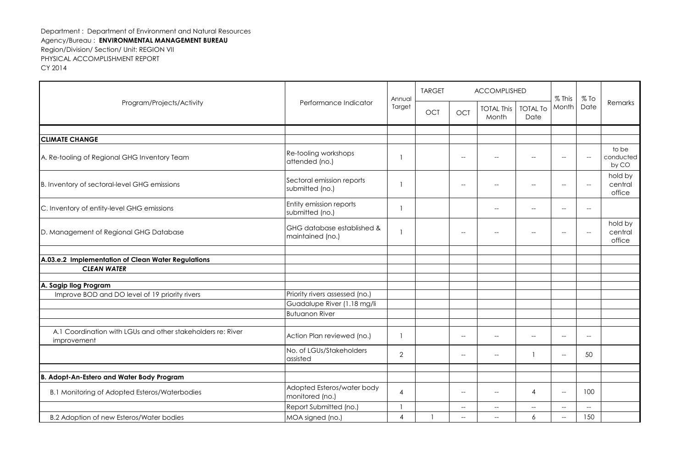| Program/Projects/Activity                                                  |                                                | Annual         | <b>TARGET</b> | ACCOMPLISHED                                        |                            |                          | % This                                              | $%$ To                                              |                              |
|----------------------------------------------------------------------------|------------------------------------------------|----------------|---------------|-----------------------------------------------------|----------------------------|--------------------------|-----------------------------------------------------|-----------------------------------------------------|------------------------------|
|                                                                            | Performance Indicator                          | Target         | <b>OCT</b>    | <b>OCT</b>                                          | <b>TOTAL This</b><br>Month | <b>TOTAL To</b><br>Date  | Month                                               | Date                                                | Remarks                      |
|                                                                            |                                                |                |               |                                                     |                            |                          |                                                     |                                                     |                              |
| <b>CLIMATE CHANGE</b>                                                      |                                                |                |               |                                                     |                            |                          |                                                     |                                                     |                              |
| A. Re-tooling of Regional GHG Inventory Team                               | Re-tooling workshops<br>attended (no.)         |                |               | $-$                                                 | $-$                        | $\overline{\phantom{a}}$ | $\overline{\phantom{a}}$                            | $\overline{\phantom{a}}$                            | to be<br>conducted<br>by CO  |
| B. Inventory of sectoral-level GHG emissions                               | Sectoral emission reports<br>submitted (no.)   |                |               | $-$                                                 | $-$                        | $-$                      | $\overline{\phantom{a}}$                            | $-\!$                                               | hold by<br>central<br>office |
| C. Inventory of entity-level GHG emissions                                 | Entity emission reports<br>submitted (no.)     |                |               |                                                     | $\overline{\phantom{a}}$   | $-$                      | $-$                                                 | $\hspace{0.05cm} -\hspace{0.05cm} -\hspace{0.05cm}$ |                              |
| D. Management of Regional GHG Database                                     | GHG database established &<br>maintained (no.) |                |               |                                                     |                            | --                       | $-$                                                 | $\overline{\phantom{a}}$                            | hold by<br>central<br>office |
|                                                                            |                                                |                |               |                                                     |                            |                          |                                                     |                                                     |                              |
| A.03.e.2 Implementation of Clean Water Regulations                         |                                                |                |               |                                                     |                            |                          |                                                     |                                                     |                              |
| <b>CLEAN WATER</b>                                                         |                                                |                |               |                                                     |                            |                          |                                                     |                                                     |                              |
| A. Sagip Ilog Program                                                      |                                                |                |               |                                                     |                            |                          |                                                     |                                                     |                              |
| Improve BOD and DO level of 19 priority rivers                             | Priority rivers assessed (no.)                 |                |               |                                                     |                            |                          |                                                     |                                                     |                              |
|                                                                            | Guadalupe River (1.18 mg/li                    |                |               |                                                     |                            |                          |                                                     |                                                     |                              |
|                                                                            | <b>Butuanon River</b>                          |                |               |                                                     |                            |                          |                                                     |                                                     |                              |
|                                                                            |                                                |                |               |                                                     |                            |                          |                                                     |                                                     |                              |
| A.1 Coordination with LGUs and other stakeholders re: River<br>improvement | Action Plan reviewed (no.)                     |                |               | $\hspace{0.05cm} -\hspace{0.05cm} -\hspace{0.05cm}$ | $\overline{\phantom{a}}$   | $\overline{\phantom{a}}$ | $\hspace{0.05cm} -$                                 | $-$                                                 |                              |
|                                                                            | No. of LGUs/Stakeholders<br>assisted           | $\overline{2}$ |               | $-$                                                 | $-$                        |                          | $\overline{\phantom{a}}$                            | 50                                                  |                              |
|                                                                            |                                                |                |               |                                                     |                            |                          |                                                     |                                                     |                              |
| B. Adopt-An-Estero and Water Body Program                                  |                                                |                |               |                                                     |                            |                          |                                                     |                                                     |                              |
| B.1 Monitoring of Adopted Esteros/Waterbodies                              | Adopted Esteros/water body<br>monitored (no.)  | 4              |               | $-$                                                 | $-$                        | 4                        | $\overline{\phantom{a}}$                            | 100                                                 |                              |
|                                                                            | Report Submitted (no.)                         |                |               | $\hspace{0.05cm} -\hspace{0.05cm} -\hspace{0.05cm}$ | $--$                       | $-\!$                    | $-\!$                                               | $\hspace{0.05cm} -\hspace{0.05cm} -\hspace{0.05cm}$ |                              |
| B.2 Adoption of new Esteros/Water bodies                                   | MOA signed (no.)                               | $\overline{4}$ |               | $\overline{a}$                                      | $\overline{a}$             | 6                        | $\hspace{0.05cm} -\hspace{0.05cm} -\hspace{0.05cm}$ | 150                                                 |                              |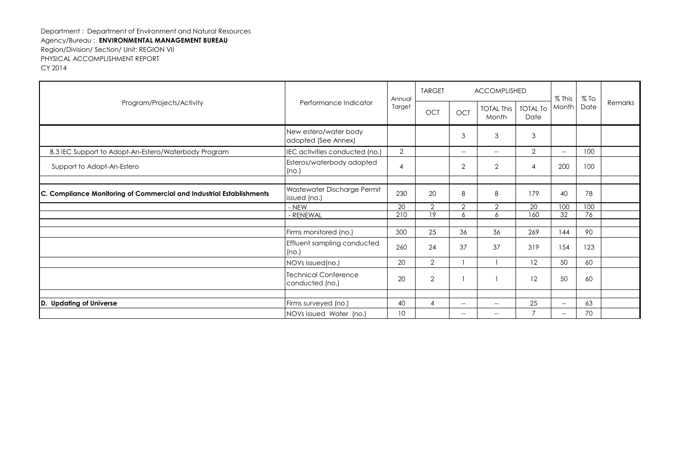| Program/Projects/Activity                                            | Annual<br>Performance Indicator                |                | <b>TARGET</b>  |                | ACCOMPLISHED               |                         | $%$ This                 | $%$ To |         |
|----------------------------------------------------------------------|------------------------------------------------|----------------|----------------|----------------|----------------------------|-------------------------|--------------------------|--------|---------|
|                                                                      |                                                | Target         | OCT            | OCT            | <b>TOTAL This</b><br>Month | <b>TOTAL To</b><br>Date | Month                    | Date   | Remarks |
|                                                                      | New estero/water body<br>adopted (See Annex)   |                |                | 3              | 3                          | 3                       |                          |        |         |
| B.3 IEC Support to Adopt-An-Estero/Waterbody Program                 | IEC activities conducted (no.)                 | $\overline{2}$ |                | $- -$          | $--$                       | $\overline{2}$          | $--$                     | 100    |         |
| Support to Adopt-An-Estero                                           | Esteros/waterbody adopted<br>(no.)             | 4              |                | $\overline{2}$ | $\mathbf{2}$               | $\overline{4}$          | 200                      | 100    |         |
|                                                                      |                                                |                |                |                |                            |                         |                          |        |         |
| C. Compliance Monitoring of Commercial and Industrial Establishments | Wastewater Discharge Permit<br>issued (no.)    | 230            | 20             | 8              | 8                          | 179                     | 40                       | 78     |         |
|                                                                      | - NEW                                          | 20             | $\overline{2}$ | $\overline{2}$ | $\overline{2}$             | 20                      | 100                      | 100    |         |
|                                                                      | - RENEWAL                                      | 210            | 19             | 6              | 6                          | 160                     | 32                       | 76     |         |
|                                                                      | Firms monitored (no.)                          | 300            | 25             | 36             | 36                         | 269                     | 144                      | 90     |         |
|                                                                      | Effluent sampling conducted<br>(no.)           | 260            | 24             | 37             | 37                         | 319                     | 154                      | 123    |         |
|                                                                      | NOVs issued(no.)                               | 20             | $\overline{2}$ |                |                            | 12                      | 50                       | 60     |         |
|                                                                      | <b>Technical Conference</b><br>conducted (no.) | 20             | $\overline{2}$ |                |                            | 12                      | 50                       | 60     |         |
|                                                                      |                                                |                |                |                |                            |                         |                          |        |         |
| D.<br><b>Updating of Universe</b>                                    | Firms surveyed (no.)                           | 40             | $\overline{4}$ | $-$            | $\overline{\phantom{a}}$   | 25                      | $\hspace{0.05cm} -$      | 63     |         |
|                                                                      | NOVs issued Water (no.)                        | 10             |                |                |                            | $\overline{7}$          | $\overline{\phantom{a}}$ | 70     |         |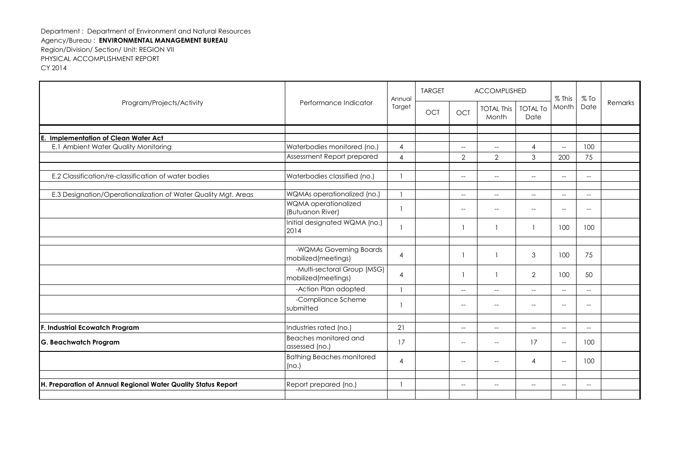| Program/Projects/Activity                                      |                                                    | Annual         | <b>TARGET</b> | <b>ACCOMPLISHED</b>                                 |                                                     |                                                     | $%$ This                                            | $%$ To                                              |         |
|----------------------------------------------------------------|----------------------------------------------------|----------------|---------------|-----------------------------------------------------|-----------------------------------------------------|-----------------------------------------------------|-----------------------------------------------------|-----------------------------------------------------|---------|
|                                                                | Performance Indicator                              | Target         | <b>OCT</b>    | <b>OCT</b>                                          | <b>TOTAL This</b><br>Month                          | <b>TOTAL To</b><br>Date                             | Month                                               | Date                                                | Remarks |
|                                                                |                                                    |                |               |                                                     |                                                     |                                                     |                                                     |                                                     |         |
| <b>Implementation of Clean Water Act</b><br>E.                 |                                                    |                |               |                                                     |                                                     |                                                     |                                                     |                                                     |         |
| E.1 Ambient Water Quality Monitoring                           | Waterbodies monitored (no.)                        | $\overline{4}$ |               | $\hspace{0.05cm} -\hspace{0.05cm} -\hspace{0.05cm}$ | $\hspace{0.05cm}--\hspace{0.05cm}$                  | 4                                                   | $\hspace{0.05cm} -\hspace{0.05cm} -\hspace{0.05cm}$ | 100                                                 |         |
|                                                                | Assessment Report prepared                         | $\overline{4}$ |               | $\overline{2}$                                      | $\overline{2}$                                      | 3                                                   | 200                                                 | 75                                                  |         |
| E.2 Classification/re-classification of water bodies           | Waterbodies classified (no.)                       | $\mathbf{1}$   |               | $\hspace{0.05cm} -\hspace{0.05cm} -\hspace{0.05cm}$ | $\hspace{0.05cm} -\hspace{0.05cm} -\hspace{0.05cm}$ | $\hspace{0.05cm} -\hspace{0.05cm} -\hspace{0.05cm}$ | $--$                                                | $--$                                                |         |
| E.3 Designation/Operationalization of Water Quality Mgt. Areas | WQMAs operationalized (no.)                        | $\mathbf{1}$   |               | $\hspace{0.05cm} -\hspace{0.05cm} -\hspace{0.05cm}$ | $\hspace{0.05cm}--\hspace{0.05cm}$                  | $\overline{\phantom{0}}$                            | $\hspace{0.05cm} -\hspace{0.05cm} -\hspace{0.05cm}$ | $\overline{\phantom{a}}$                            |         |
|                                                                | WQMA operationalized<br>(Butuanon River)           | $\mathbf{1}$   |               | $\hspace{0.05cm} -\hspace{0.05cm} -\hspace{0.05cm}$ | $\hspace{0.05cm} -\hspace{0.05cm} -\hspace{0.05cm}$ | $\hspace{0.05cm} -\hspace{0.05cm} -\hspace{0.05cm}$ | $\hspace{0.05cm} -\hspace{0.05cm} -\hspace{0.05cm}$ | $\hspace{0.05cm} -\hspace{0.05cm} -\hspace{0.05cm}$ |         |
|                                                                | Initial designated WQMA (no.)<br>2014              | $\mathbf{1}$   |               |                                                     |                                                     | -1                                                  | 100                                                 | 100                                                 |         |
|                                                                |                                                    |                |               |                                                     |                                                     |                                                     |                                                     |                                                     |         |
|                                                                | -WQMAs Governing Boards<br>mobilized(meetings)     | $\overline{4}$ |               |                                                     |                                                     | 3                                                   | 100                                                 | 75                                                  |         |
|                                                                | -Multi-sectoral Group (MSG)<br>mobilized(meetings) | $\overline{4}$ |               |                                                     |                                                     | $\overline{2}$                                      | 100                                                 | 50                                                  |         |
|                                                                | -Action Plan adopted                               | $\mathbf{1}$   |               | $-$                                                 | $-$                                                 | $\overline{\phantom{a}}$                            | $\overline{\phantom{a}}$                            | $-$                                                 |         |
|                                                                | -Compliance Scheme<br>submitted                    | -1             |               | $-$                                                 | $\overline{\phantom{a}}$                            | --                                                  | $-$                                                 | $-\!$                                               |         |
|                                                                |                                                    |                |               |                                                     |                                                     |                                                     |                                                     |                                                     |         |
| F. Industrial Ecowatch Program                                 | Industries rated (no.)                             | 21             |               | $\hspace{0.05cm} -\hspace{0.05cm} -\hspace{0.05cm}$ | $\hspace{0.05cm}--\hspace{0.05cm}$                  | $\overline{\phantom{0}}$                            | $--$                                                | $\hspace{0.05cm} -\hspace{0.05cm} -\hspace{0.05cm}$ |         |
| <b>G. Beachwatch Program</b>                                   | Beaches monitored and<br>assessed (no.)            | 17             |               | $\overline{\phantom{a}}$                            | $\overline{\phantom{a}}$                            | 17                                                  | $\hspace{0.05cm} -\hspace{0.05cm} -\hspace{0.05cm}$ | 100                                                 |         |
|                                                                | <b>Bathing Beaches monitored</b><br>(no.)          | $\overline{4}$ |               | $\overline{a}$                                      | $-$                                                 | 4                                                   | $-\!$                                               | 100                                                 |         |
|                                                                |                                                    |                |               |                                                     |                                                     |                                                     |                                                     |                                                     |         |
| H. Preparation of Annual Regional Water Quality Status Report  | Report prepared (no.)                              | $\mathbf{1}$   |               | $\hspace{0.05cm}--\hspace{0.05cm}$                  | $--$                                                | $\hspace{0.05cm}$ – $\hspace{0.05cm}$               | $\hspace{0.05cm}$ – $\hspace{0.05cm}$               | $\overline{\phantom{a}}$                            |         |
|                                                                |                                                    |                |               |                                                     |                                                     |                                                     |                                                     |                                                     |         |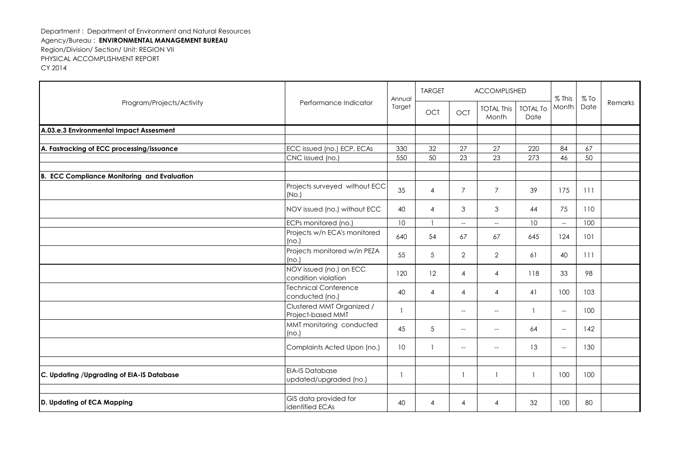|                                                    | Program/Projects/Activity<br>Performance Indicator | Annual          | <b>TARGET</b>  |                                                     | ACCOMPLISHED                                        |                         | $%$ This                                            | $%$ To |         |
|----------------------------------------------------|----------------------------------------------------|-----------------|----------------|-----------------------------------------------------|-----------------------------------------------------|-------------------------|-----------------------------------------------------|--------|---------|
|                                                    |                                                    | Target          | <b>OCT</b>     | OCT                                                 | <b>TOTAL This</b><br>Month                          | <b>TOTAL To</b><br>Date | Month                                               | Date   | Remarks |
| A.03.e.3 Environmental Impact Assesment            |                                                    |                 |                |                                                     |                                                     |                         |                                                     |        |         |
|                                                    |                                                    |                 |                |                                                     |                                                     |                         |                                                     |        |         |
| A. Fastracking of ECC processing/issuance          | ECC issued (no.) ECP, ECAs                         | 330             | 32             | 27                                                  | 27                                                  | 220                     | 84                                                  | 67     |         |
|                                                    | CNC issued (no.)                                   | 550             | 50             | 23                                                  | 23                                                  | 273                     | 46                                                  | 50     |         |
| <b>B. ECC Compliance Monitoring and Evaluation</b> |                                                    |                 |                |                                                     |                                                     |                         |                                                     |        |         |
|                                                    | Projects surveyed without ECC<br>(NO.)             | 35              | 4              | $\overline{7}$                                      | $\overline{7}$                                      | 39                      | 175                                                 | 111    |         |
|                                                    | NOV issued (no.) without ECC                       | 40              | 4              | 3                                                   | 3                                                   | 44                      | 75                                                  | 110    |         |
|                                                    | ECPs monitored (no.)                               | 10 <sup>°</sup> |                | $\overline{\phantom{a}}$                            | $\hspace{0.05cm} -\hspace{0.05cm} -\hspace{0.05cm}$ | 10                      | $\hspace{0.05cm} -\hspace{0.05cm} -\hspace{0.05cm}$ | 100    |         |
|                                                    | Projects w/n ECA's monitored<br>(no.)              | 640             | 54             | 67                                                  | 67                                                  | 645                     | 124                                                 | 101    |         |
|                                                    | Projects monitored w/in PEZA<br>(no.)              | 55              | 5              | $\overline{2}$                                      | $\overline{2}$                                      | 61                      | 40                                                  | 111    |         |
|                                                    | NOV issued (no.) on ECC<br>condition violation     | 120             | 12             | 4                                                   | 4                                                   | 118                     | 33                                                  | 98     |         |
|                                                    | <b>Technical Conference</b><br>conducted (no.)     | 40              | $\overline{4}$ | $\overline{4}$                                      | 4                                                   | 41                      | 100                                                 | 103    |         |
|                                                    | Clustered MMT Organized /<br>Project-based MMT     | $\mathbf{1}$    |                | $\hspace{0.05cm} -\hspace{0.05cm} -\hspace{0.05cm}$ | $- -$                                               | $\mathbf{1}$            | $\hspace{0.05cm} -\hspace{0.05cm} -\hspace{0.05cm}$ | 100    |         |
|                                                    | MMT monitoring conducted<br>(no.)                  | 45              | 5              | $\hspace{0.05cm} -\hspace{0.05cm} -\hspace{0.05cm}$ | $\hspace{0.05cm} \ldots$                            | 64                      | $--$                                                | 142    |         |
|                                                    | Complaints Acted Upon (no.)                        | 10              |                | $\hspace{0.05cm} -\hspace{0.05cm} -\hspace{0.05cm}$ | $\hspace{0.05cm} -\hspace{0.05cm} -\hspace{0.05cm}$ | 13                      | $-$                                                 | 130    |         |
|                                                    |                                                    |                 |                |                                                     |                                                     |                         |                                                     |        |         |
| C. Updating /Upgrading of EIA-IS Database          | <b>EIA-IS Database</b><br>updated/upgraded (no.)   |                 |                | -1                                                  |                                                     | $\overline{1}$          | 100                                                 | 100    |         |
|                                                    |                                                    |                 |                |                                                     |                                                     |                         |                                                     |        |         |
| D. Updating of ECA Mapping                         | GIS data provided for<br>identified ECAs           | 40              | 4              | 4                                                   | 4                                                   | 32                      | 100                                                 | 80     |         |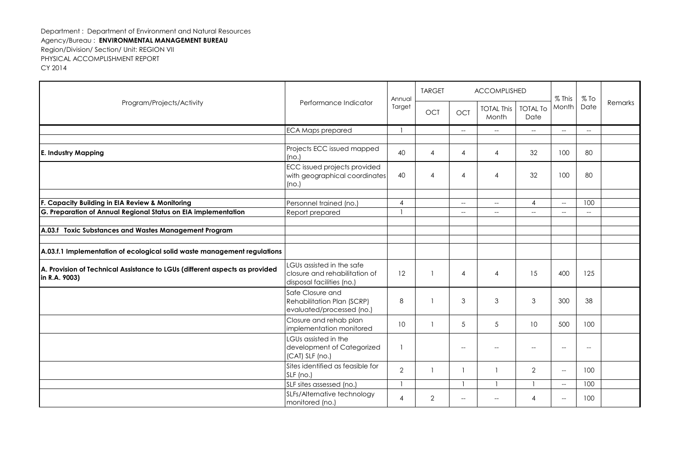| Program/Projects/Activity                                                                    |                                                                                         | Annual<br>Performance Indicator<br>Target | <b>TARGET</b>  | <b>ACCOMPLISHED</b>      |                                                     |                         | $%$ This                                            | $%$ To                                              |         |
|----------------------------------------------------------------------------------------------|-----------------------------------------------------------------------------------------|-------------------------------------------|----------------|--------------------------|-----------------------------------------------------|-------------------------|-----------------------------------------------------|-----------------------------------------------------|---------|
|                                                                                              |                                                                                         |                                           | OCT            | <b>OCT</b>               | <b>TOTAL This</b><br>Month                          | <b>TOTAL To</b><br>Date | Month                                               | Date                                                | Remarks |
|                                                                                              | <b>ECA Maps prepared</b>                                                                |                                           |                | $-$                      | $\hspace{0.05cm} -\hspace{0.05cm} -\hspace{0.05cm}$ | <u></u>                 | $-$                                                 | $\overline{\phantom{a}}$                            |         |
| <b>E. Industry Mapping</b>                                                                   | Projects ECC issued mapped<br>(no.)                                                     | 40                                        | 4              | 4                        | 4                                                   | 32                      | 100                                                 | 80                                                  |         |
|                                                                                              | <b>ECC</b> issued projects provided<br>with geographical coordinates<br>(no.)           | 40                                        | 4              | 4                        | 4                                                   | 32                      | 100                                                 | 80                                                  |         |
| F. Capacity Building in EIA Review & Monitoring                                              | Personnel trained (no.)                                                                 | $\overline{4}$                            |                | $\sim$                   | $\hspace{0.05cm} -\hspace{0.05cm} -\hspace{0.05cm}$ | $\overline{4}$          | $\hspace{0.05cm} -\hspace{0.05cm} -\hspace{0.05cm}$ | 100                                                 |         |
| G. Preparation of Annual Regional Status on EIA implementation                               | Report prepared                                                                         |                                           |                | $-$                      | $\hspace{0.05cm} -\hspace{0.05cm} -\hspace{0.05cm}$ | $-$                     | $\overline{\phantom{a}}$                            | $\hspace{0.05cm} -\hspace{0.05cm} -\hspace{0.05cm}$ |         |
|                                                                                              |                                                                                         |                                           |                |                          |                                                     |                         |                                                     |                                                     |         |
| A.03.f Toxic Substances and Wastes Management Program                                        |                                                                                         |                                           |                |                          |                                                     |                         |                                                     |                                                     |         |
| A.03.f.1 Implementation of ecological solid waste management regulations                     |                                                                                         |                                           |                |                          |                                                     |                         |                                                     |                                                     |         |
| A. Provision of Technical Assistance to LGUs (different aspects as provided<br>in R.A. 9003) | LGUs assisted in the safe<br>closure and rehabilitation of<br>disposal facilities (no.) | 12                                        |                | $\boldsymbol{\Lambda}$   | 4                                                   | 15                      | 400                                                 | 125                                                 |         |
|                                                                                              | Safe Closure and<br>Rehabilitation Plan (SCRP)<br>evaluated/processed (no.)             | 8                                         |                | 3                        | 3                                                   | 3                       | 300                                                 | 38                                                  |         |
|                                                                                              | Closure and rehab plan<br>implementation monitored                                      | 10                                        |                | 5                        | 5                                                   | 10                      | 500                                                 | 100                                                 |         |
|                                                                                              | LGUs assisted in the<br>development of Categorized<br>(CAT) SLF (no.)                   |                                           |                | $-$                      | $\overline{\phantom{a}}$                            | --                      | $-$                                                 | $-\!$                                               |         |
|                                                                                              | Sites identified as feasible for<br>SLF (no.)                                           | $\overline{2}$                            |                |                          |                                                     | $\overline{2}$          | $-$                                                 | 100                                                 |         |
|                                                                                              | SLF sites assessed (no.)                                                                |                                           |                |                          |                                                     |                         | $\hspace{0.05cm} -\hspace{0.05cm} -\hspace{0.05cm}$ | 100                                                 |         |
|                                                                                              | SLFs/Alternative technology<br>monitored (no.)                                          | $\overline{4}$                            | $\overline{2}$ | $\overline{\phantom{a}}$ |                                                     | 4                       | $\overline{\phantom{a}}$                            | 100                                                 |         |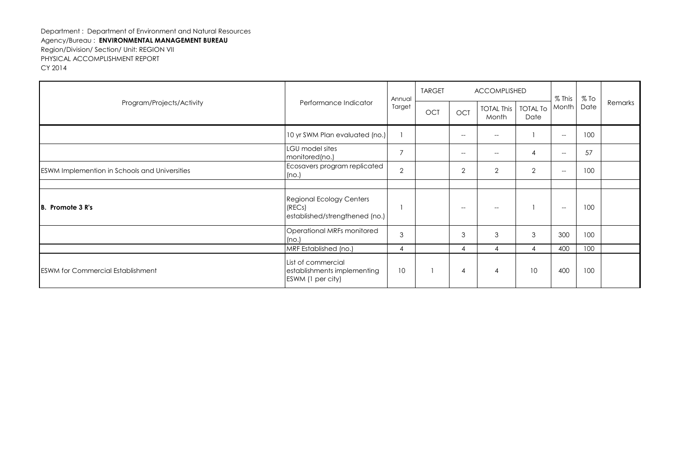| Program/Projects/Activity                            | Performance Indicator                                                       | Annual<br>Target | <b>TARGET</b> | <b>ACCOMPLISHED</b> |                            |                         | $%$ This                                            | $%$ To |         |
|------------------------------------------------------|-----------------------------------------------------------------------------|------------------|---------------|---------------------|----------------------------|-------------------------|-----------------------------------------------------|--------|---------|
|                                                      |                                                                             |                  | OCT           | <b>OCT</b>          | <b>TOTAL This</b><br>Month | <b>TOTAL To</b><br>Date | Month                                               | Date   | Remarks |
|                                                      | 10 yr SWM Plan evaluated (no.)                                              |                  |               | $-$                 | $--$                       |                         | $\hspace{0.05cm} -\hspace{0.05cm} -\hspace{0.05cm}$ | 100    |         |
|                                                      | LGU model sites<br>monitored(no.)                                           | $\overline{7}$   |               | $-$                 |                            | $\overline{4}$          | $\hspace{0.05cm} -\hspace{0.05cm} -\hspace{0.05cm}$ | 57     |         |
| <b>ESWM Implemention in Schools and Universities</b> | Ecosavers program replicated<br>(no.)                                       | $\overline{2}$   |               | $\overline{2}$      | $\overline{2}$             | $\overline{2}$          | $\hspace{0.05cm} -\hspace{0.05cm} -\hspace{0.05cm}$ | 100    |         |
|                                                      |                                                                             |                  |               |                     |                            |                         |                                                     |        |         |
| <b>IB.</b> Promote 3 R's                             | <b>Regional Ecology Centers</b><br>(RECs)<br>established/strengthened (no.) |                  |               | $-$                 |                            |                         | $-\!$                                               | 100    |         |
|                                                      | Operational MRFs monitored<br>(no.)                                         | 3                |               | 3                   | 3                          | 3                       | 300                                                 | 100    |         |
|                                                      | MRF Established (no.)                                                       | 4                |               | 4                   | Δ                          | 4                       | 400                                                 | 100    |         |
| <b>ESWM for Commercial Establishment</b>             | List of commercial<br>establishments implementing<br>ESWM (1 per city)      | 10               |               | $\overline{4}$      | 4                          | 10                      | 400                                                 | 100    |         |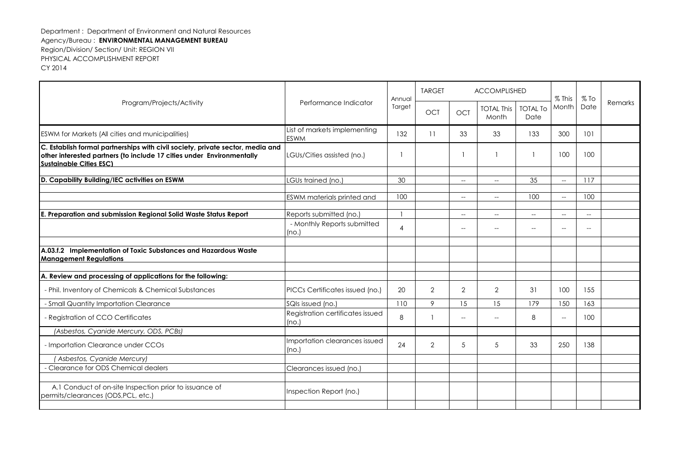| Program/Projects/Activity                                                                                                                                                                 | Performance Indicator                       | Annual<br>Target | <b>TARGET</b>  | <b>ACCOMPLISHED</b>                                 |                                                     |                                                     | $%$ This                                            | $%$ To                   | Remarks |
|-------------------------------------------------------------------------------------------------------------------------------------------------------------------------------------------|---------------------------------------------|------------------|----------------|-----------------------------------------------------|-----------------------------------------------------|-----------------------------------------------------|-----------------------------------------------------|--------------------------|---------|
|                                                                                                                                                                                           |                                             |                  | <b>OCT</b>     | <b>OCT</b>                                          | <b>TOTAL This</b><br>Month                          | <b>TOTAL To</b><br>Date                             | Month                                               | Date                     |         |
| ESWM for Markets (All cities and municipalities)                                                                                                                                          | List of markets implementing<br><b>ESWM</b> | 132              | 11             | 33                                                  | 33                                                  | 133                                                 | 300                                                 | 101                      |         |
| C. Establish formal partnerships with civil society, private sector, media and<br>other interested partners (to include 17 cities under Environmentally<br><b>Sustainable Cities ESC)</b> | LGUs/Cities assisted (no.)                  |                  |                |                                                     |                                                     | $\overline{\phantom{a}}$                            | 100                                                 | 100                      |         |
| D. Capability Building/IEC activities on ESWM                                                                                                                                             | LGUs trained (no.)                          | 30               |                | $--$                                                | $\hspace{0.05cm} -\hspace{0.05cm} -\hspace{0.05cm}$ | 35                                                  | $\overline{\phantom{a}}$                            | 117                      |         |
|                                                                                                                                                                                           |                                             |                  |                |                                                     |                                                     |                                                     |                                                     |                          |         |
|                                                                                                                                                                                           | ESWM materials printed and                  | 100              |                | $\hspace{0.05cm} -\hspace{0.05cm} -\hspace{0.05cm}$ | $\hspace{0.05cm} \ldots$                            | 100                                                 | $\hspace{0.05cm} -\hspace{0.05cm} -\hspace{0.05cm}$ | 100                      |         |
| E. Preparation and submission Regional Solid Waste Status Report                                                                                                                          | Reports submitted (no.)                     |                  |                | $- -$                                               | $-\!$                                               | $\hspace{0.05cm} -\hspace{0.05cm} -\hspace{0.05cm}$ | $--$                                                | $\overline{\phantom{a}}$ |         |
|                                                                                                                                                                                           | - Monthly Reports submitted<br>(no.)        | $\overline{4}$   |                | $-$                                                 |                                                     | $-$                                                 | $\overline{\phantom{a}}$                            | $\overline{a}$           |         |
|                                                                                                                                                                                           |                                             |                  |                |                                                     |                                                     |                                                     |                                                     |                          |         |
| A.03.f.2 Implementation of Toxic Substances and Hazardous Waste<br><b>Management Regulations</b>                                                                                          |                                             |                  |                |                                                     |                                                     |                                                     |                                                     |                          |         |
| A. Review and processing of applications for the following:                                                                                                                               |                                             |                  |                |                                                     |                                                     |                                                     |                                                     |                          |         |
| - Phil. Inventory of Chemicals & Chemical Substances                                                                                                                                      | PICCs Certificates issued (no.)             | 20               | $\overline{2}$ | $\overline{2}$                                      | $\overline{2}$                                      | 31                                                  | 100                                                 | 155                      |         |
| - Small Quantity Importation Clearance                                                                                                                                                    | SQIs issued (no.)                           | 110              | 9              | 15                                                  | 15                                                  | 179                                                 | 150                                                 | 163                      |         |
| - Registration of CCO Certificates                                                                                                                                                        | Registration certificates issued<br>(no.)   | 8                |                | $\overline{\phantom{0}}$                            |                                                     | 8                                                   | $\overline{\phantom{a}}$                            | 100                      |         |
| (Asbestos, Cyanide Mercury, ODS, PCBs)                                                                                                                                                    |                                             |                  |                |                                                     |                                                     |                                                     |                                                     |                          |         |
| - Importation Clearance under CCOs                                                                                                                                                        | Importation clearances issued<br>(no.)      | 24               | $\overline{2}$ | 5                                                   | 5                                                   | 33                                                  | 250                                                 | 138                      |         |
| Asbestos, Cyanide Mercury)                                                                                                                                                                |                                             |                  |                |                                                     |                                                     |                                                     |                                                     |                          |         |
| - Clearance for ODS Chemical dealers                                                                                                                                                      | Clearances issued (no.)                     |                  |                |                                                     |                                                     |                                                     |                                                     |                          |         |
|                                                                                                                                                                                           |                                             |                  |                |                                                     |                                                     |                                                     |                                                     |                          |         |
| A.1 Conduct of on-site Inspection prior to issuance of<br>permits/clearances (ODS,PCL, etc.)                                                                                              | Inspection Report (no.)                     |                  |                |                                                     |                                                     |                                                     |                                                     |                          |         |
|                                                                                                                                                                                           |                                             |                  |                |                                                     |                                                     |                                                     |                                                     |                          |         |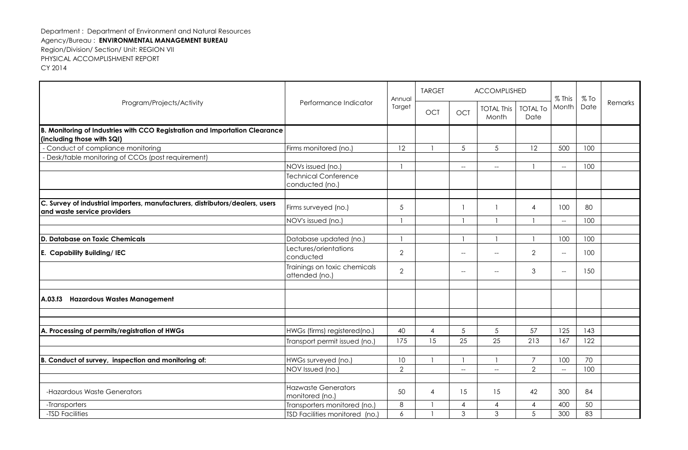| Program/Projects/Activity                                                                                    | Performance Indicator                          | Annual          | <b>TARGET</b>  |                          | ACCOMPLISHED                                        |                         |                                                     | $%$ To |         |
|--------------------------------------------------------------------------------------------------------------|------------------------------------------------|-----------------|----------------|--------------------------|-----------------------------------------------------|-------------------------|-----------------------------------------------------|--------|---------|
|                                                                                                              |                                                | Target          | <b>OCT</b>     | <b>OCT</b>               | <b>TOTAL This</b><br>Month                          | <b>TOTAL To</b><br>Date | $%$ This<br>Month                                   | Date   | Remarks |
| B. Monitoring of Industries with CCO Registration and Importation Clearance                                  |                                                |                 |                |                          |                                                     |                         |                                                     |        |         |
| (including those with SQI)                                                                                   |                                                |                 |                |                          |                                                     |                         |                                                     |        |         |
| - Conduct of compliance monitoring                                                                           | Firms monitored (no.)                          | 12              |                | 5                        | 5                                                   | 12                      | 500                                                 | 100    |         |
| Desk/table monitoring of CCOs (post requirement)                                                             |                                                |                 |                |                          |                                                     |                         |                                                     |        |         |
|                                                                                                              | NOVs issued (no.)                              |                 |                | $-\!$                    | $\hspace{0.05cm} -\hspace{0.05cm} -\hspace{0.05cm}$ | $\mathbf{1}$            | $\overline{\phantom{a}}$                            | 100    |         |
|                                                                                                              | <b>Technical Conference</b><br>conducted (no.) |                 |                |                          |                                                     |                         |                                                     |        |         |
|                                                                                                              |                                                |                 |                |                          |                                                     |                         |                                                     |        |         |
| C. Survey of industrial importers, manufacturers, distributors/dealers, users<br>and waste service providers | Firms surveyed (no.)                           | 5               |                |                          |                                                     | 4                       | 100                                                 | 80     |         |
|                                                                                                              | NOV's issued (no.)                             |                 |                |                          |                                                     |                         | $\hspace{0.05cm} -\hspace{0.05cm} -\hspace{0.05cm}$ | 100    |         |
|                                                                                                              |                                                |                 |                |                          |                                                     |                         |                                                     |        |         |
| <b>D. Database on Toxic Chemicals</b>                                                                        | Database updated (no.)                         |                 |                |                          |                                                     |                         | 100                                                 | 100    |         |
| E. Capability Building/ IEC                                                                                  | Lectures/orientations<br>conducted             | $\overline{2}$  |                | $\overline{\phantom{a}}$ | $-$                                                 | $\overline{2}$          | $\hspace{0.05cm} -\hspace{0.05cm} -\hspace{0.05cm}$ | 100    |         |
|                                                                                                              | Trainings on toxic chemicals<br>attended (no.) | $\overline{2}$  |                | --                       | $\overline{\phantom{a}}$                            | 3                       | $\hspace{0.05cm} -\hspace{0.05cm} -\hspace{0.05cm}$ | 150    |         |
|                                                                                                              |                                                |                 |                |                          |                                                     |                         |                                                     |        |         |
| A.03.f3 Hazardous Wastes Management                                                                          |                                                |                 |                |                          |                                                     |                         |                                                     |        |         |
|                                                                                                              |                                                |                 |                |                          |                                                     |                         |                                                     |        |         |
| A. Processing of permits/registration of HWGs                                                                | HWGs (firms) registered(no.)                   | 40              | $\overline{4}$ | 5                        | $5\overline{)}$                                     | 57                      | 125                                                 | 143    |         |
|                                                                                                              | Transport permit issued (no.)                  | 175             | 15             | 25                       | 25                                                  | 213                     | 167                                                 | 122    |         |
|                                                                                                              |                                                |                 |                |                          |                                                     |                         |                                                     |        |         |
| B. Conduct of survey, inspection and monitoring of:                                                          | HWGs surveyed (no.)                            | 10              |                |                          |                                                     | $\overline{7}$          | 100                                                 | 70     |         |
|                                                                                                              | NOV Issued (no.)                               | $\overline{2}$  |                | $\overline{\phantom{a}}$ | $\overline{a}$                                      | $\overline{2}$          | $\overline{\phantom{a}}$                            | 100    |         |
|                                                                                                              |                                                |                 |                |                          |                                                     |                         |                                                     |        |         |
| -Hazardous Waste Generators                                                                                  | <b>Hazwaste Generators</b><br>monitored (no.)  | 50              | 4              | 15                       | 15                                                  | 42                      | 300                                                 | 84     |         |
| -Transporters                                                                                                | Transporters monitored (no.)                   | 8               |                | 4                        | $\overline{4}$                                      | 4                       | 400                                                 | 50     |         |
| -TSD Facilities                                                                                              | TSD Facilities monitored (no.)                 | $\ddot{\delta}$ |                | 3                        | 3                                                   | 5                       | 300                                                 | 83     |         |